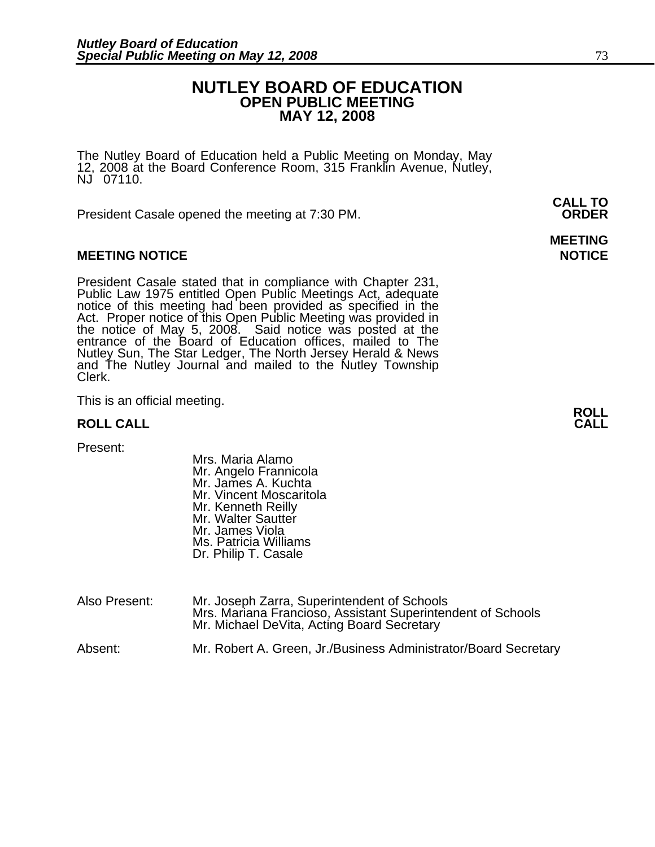# **NUTLEY BOARD OF EDUCATION OPEN PUBLIC MEETING MAY 12, 2008**

**MEETING** 

The Nutley Board of Education held a Public Meeting on Monday, May 12, 2008 at the Board Conference Room, 315 Franklin Avenue, Nutley, NJ 07110.

 **CALL TO**  President Casale opened the meeting at 7:30 PM. **ORDER**

## **MEETING NOTICE NOTICE REPORTS AND ALCOHOL**

President Casale stated that in compliance with Chapter 231,<br>Public Law 1975 entitled Open Public Meetings Act, adequate<br>notice of this meeting had been provided as specified in the<br>Act. Proper notice of this Open Public M the notice of May 5, 2008. Said notice was posted at the<br>entrance of the Board of Education offices, mailed to The Nutley Sun, The Star Ledger, The North Jersey Herald & News and The Nutley Journal and mailed to the Nutley Township Clerk.

This is an official meeting. **ROLL ROLL CALL CALL** 

Present:

- Mrs. Maria Alamo Mr. Angelo Frannicola Mr. James A. Kuchta Mr. Vincent Moscaritola Mr. Kenneth Reilly Mr. Walter Sautter Mr. James Viola Ms. Patricia Williams Dr. Philip T. Casale
- Also Present: Mr. Joseph Zarra, Superintendent of Schools Mrs. Mariana Francioso, Assistant Superintendent of Schools Mr. Michael DeVita, Acting Board Secretary

Absent: Mr. Robert A. Green, Jr./Business Administrator/Board Secretary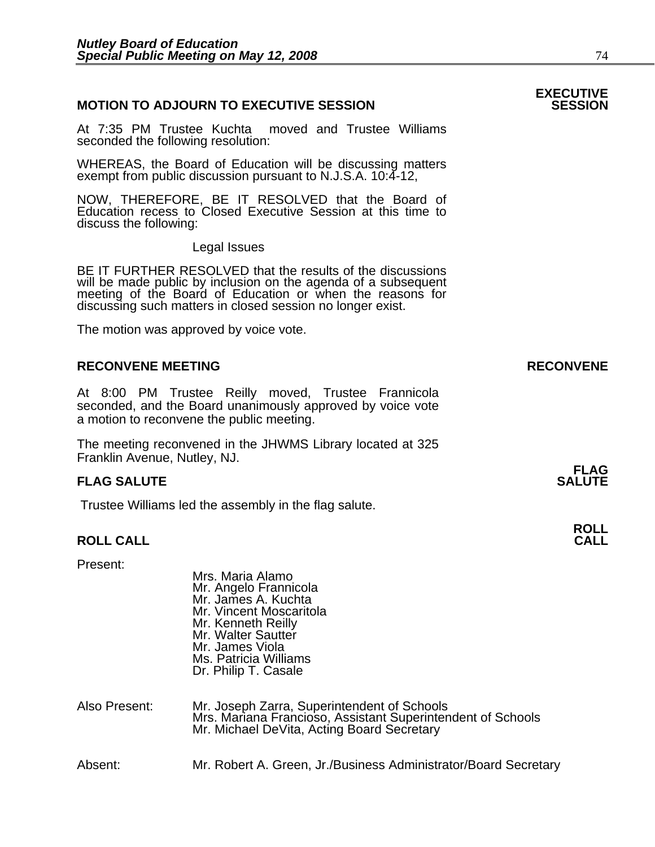## **MOTION TO ADJOURN TO EXECUTIVE SESSION**

At 7:35 PM Trustee Kuchta moved and Trustee Williams seconded the following resolution:

WHEREAS, the Board of Education will be discussing matters exempt from public discussion pursuant to N.J.S.A. 10:4-12,

NOW, THEREFORE, BE IT RESOLVED that the Board of Education recess to Closed Executive Session at this time to discuss the following:

Legal Issues

BE IT FURTHER RESOLVED that the results of the discussions will be made public by inclusion on the agenda of a subsequent meeting of the Board of Education or when the reasons for discussing such matters in closed session no longer exist.

 The motion was approved by voice vote.

## RECONVENE MEETING **RECONVENE**

At 8:00 PM Trustee Reilly moved, Trustee Frannicola seconded, and the Board unanimously approved by voice vote a motion to reconvene the public meeting.

The meeting reconvened in the JHWMS Library located at 325 Franklin Avenue, Nutley, NJ.

### **FLAG SALUTE** SALUTE SALUTE SALUTE SALUTE SALUTE

Trustee Williams led the assembly in the flag salute.

Mrs. Maria Alamo

# **ROLL ROLL CALL CALL**

Present:

|               | Mr. Angelo Frannicola<br>Mr. James A. Kuchta<br>Mr. Vincent Moscaritola<br>Mr. Kenneth Reilly<br>Mr. Walter Sautter<br>Mr. James Viola<br>Ms. Patricia Williams<br>Dr. Philip T. Casale |
|---------------|-----------------------------------------------------------------------------------------------------------------------------------------------------------------------------------------|
| Also Present: | Mr. Joseph Zarra, Superintendent of Schools<br>Mrs. Mariana Francioso, Assistant Superintendent of Schools<br>Mr. Michael DeVita, Acting Board Secretary                                |
| Absent:       | Mr. Robert A. Green, Jr./Business Administrator/Board Secretary                                                                                                                         |

# **EXECUTIVE**

# **FLAG**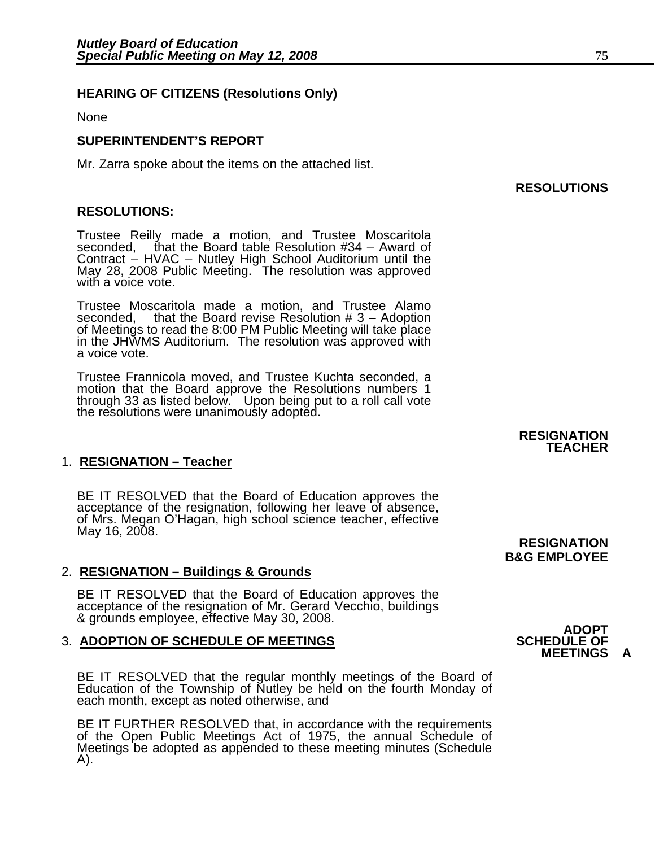# **HEARING OF CITIZENS (Resolutions Only)**

None

### **SUPERINTENDENT'S REPORT**

Mr. Zarra spoke about the items on the attached list.

### **RESOLUTIONS:**

Trustee Reilly made a motion, and Trustee Moscaritola seconded, that the Board table Resolution #34 – Award of Contract – HVAC – Nutley High School Auditorium until the May 28, 2008 Public Meeting. The resolution was approved with a voice vote.

Trustee Moscaritola made a motion, and Trustee Alamo seconded, that the Board revise Resolution # 3 - Adoption of Meetings to read the 8:00 PM Public Meeting will take place in the JHWMS Auditorium. The resolution was approved with a voice vote.

Trustee Frannicola moved, and Trustee Kuchta seconded, a motion that the Board approve the Resolutions numbers 1 through 33 as listed below. Upon being put to a roll call vote the resolutions were unanimously adopted.

## 1. **RESIGNATION – Teacher**

BE IT RESOLVED that the Board of Education approves the acceptance of the resignation, following her leave of absence, of Mrs. Megan O'Hagan, high school science teacher, effective May 16, 2008. May 16, 2008. **Participal and Contract Contract Contract Contract Contract Contract Contract Contract Contract Contract Contract Contract Contract Contract Contract Contract Contract Contract Contract Contract Contract Con** 

### 2. **RESIGNATION – Buildings & Grounds**

BE IT RESOLVED that the Board of Education approves the<br>acceptance of the resignation of Mr. Gerard Vecchio, buildings<br>& grounds employee, effective May 30, 2008. **ADOPT BOOPT ADOPTION OF SCHEDULE OF MEETINGS** 

## **3. ADOPTION OF SCHEDULE OF MEETINGS**

BE IT RESOLVED that the regular monthly meetings of the Board of Education of the Township of Nutley be held on the fourth Monday of each month, except as noted otherwise, and

BE IT FURTHER RESOLVED that, in accordance with the requirements of the Open Public Meetings Act of 1975, the annual Schedule of Meetings be adopted as appended to these meeting minutes (Schedule A).

**RESIGNATION TEACHER** 

# **B&G EMPLOYEE**

# **MEETINGS**

# **RESOLUTIONS**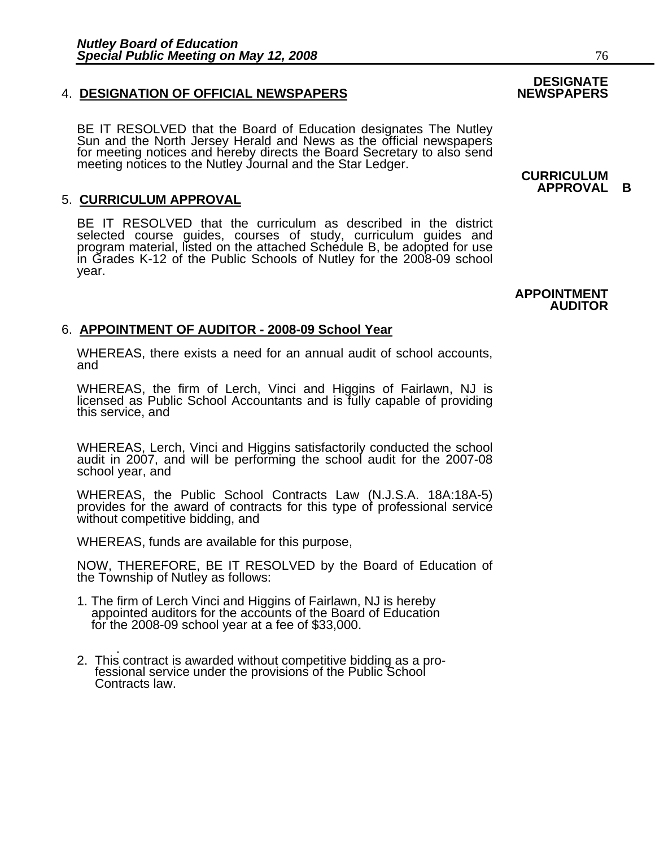### **4. DESIGNATION OF OFFICIAL NEWSPAPERS**

BE IT RESOLVED that the Board of Education designates The Nutley Sun and the North Jersey Herald and News as the official newspapers for meeting notices and hereby directs the Board Secretary to also send meeting notices to the Nutley Journal and the Star Ledger. **CURRICULUM** 

### 5. **CURRICULUM APPROVAL**

BE IT RESOLVED that the curriculum as described in the district selected course guides, courses of study, curriculum guides and program material, listed on the attached Schedule B, be adopted for use in Grades K-12 of the Public Schools of Nutley for the 2008-09 school year.

## 6. **APPOINTMENT OF AUDITOR - 2008-09 School Year**

WHEREAS, there exists a need for an annual audit of school accounts, and

WHEREAS, the firm of Lerch, Vinci and Higgins of Fairlawn, NJ is licensed as Public School Accountants and is fully capable of providing this service, and

WHEREAS, Lerch, Vinci and Higgins satisfactorily conducted the school audit in 2007, and will be performing the school audit for the 2007-08 school year, and

WHEREAS, the Public School Contracts Law (N.J.S.A. 18A:18A-5) provides for the award of contracts for this type of professional service without competitive bidding, and

WHEREAS, funds are available for this purpose,

NOW, THEREFORE, BE IT RESOLVED by the Board of Education of the Township of Nutley as follows:

- 1. The firm of Lerch Vinci and Higgins of Fairlawn, NJ is hereby appointed auditors for the accounts of the Board of Education for the 2008-09 school year at a fee of \$33,000.
- . 2. This contract is awarded without competitive bidding as a pro- fessional service under the provisions of the Public School Contracts law.

# **DESIGNATE**

**APPROVAL B**

### **APPOINTMENT AUDITOR**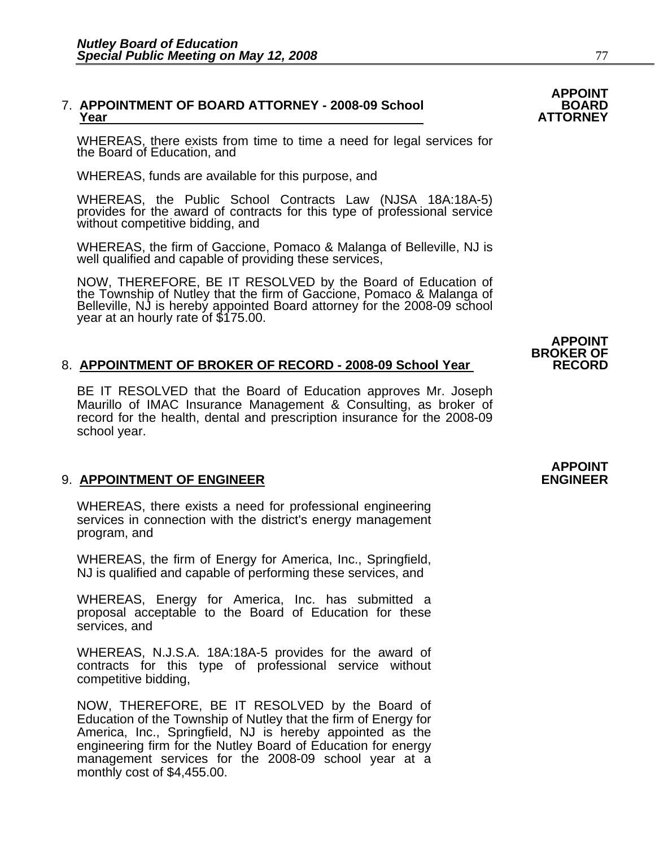# 7. **APPOINTMENT OF BOARD ATTORNEY - 2008-09 School BOARD Year ATTORNEY**

WHEREAS, there exists from time to time a need for legal services for the Board of Education, and

WHEREAS, funds are available for this purpose, and

WHEREAS, the Public School Contracts Law (NJSA 18A:18A-5) provides for the award of contracts for this type of professional service without competitive bidding, and

WHEREAS, the firm of Gaccione, Pomaco & Malanga of Belleville, NJ is well qualified and capable of providing these services,

NOW, THEREFORE, BE IT RESOLVED by the Board of Education of the Township of Nutley that the firm of Gaccione, Pomaco & Malanga of Belleville, NJ is hereby appointed Board attorney for the 2008-09 school year at an hourly r

### 8. APPOINTMENT OF BROKER OF RECORD - 2008-09 School Year RECORD

BE IT RESOLVED that the Board of Education approves Mr. Joseph Maurillo of IMAC Insurance Management & Consulting, as broker of record for the health, dental and prescription insurance for the 2008-09 school year.

### 9. **APPOINTMENT OF ENGINEER ENGINEER**

WHEREAS, there exists a need for professional engineering services in connection with the district's energy management program, and

WHEREAS, the firm of Energy for America, Inc., Springfield, NJ is qualified and capable of performing these services, and

WHEREAS, Energy for America, Inc. has submitted a proposal acceptable to the Board of Education for these services, and

WHEREAS, N.J.S.A. 18A:18A-5 provides for the award of contracts for this type of professional service without competitive bidding,

NOW, THEREFORE, BE IT RESOLVED by the Board of Education of the Township of Nutley that the firm of Energy for America, Inc., Springfield, NJ is hereby appointed as the engineering firm for the Nutley Board of Education for energy management services for the 2008-09 school year at a monthly cost of \$4,455.00.

# **APPOINT**

**APPOINT<br>BROKER OF** 

# **APPOINT**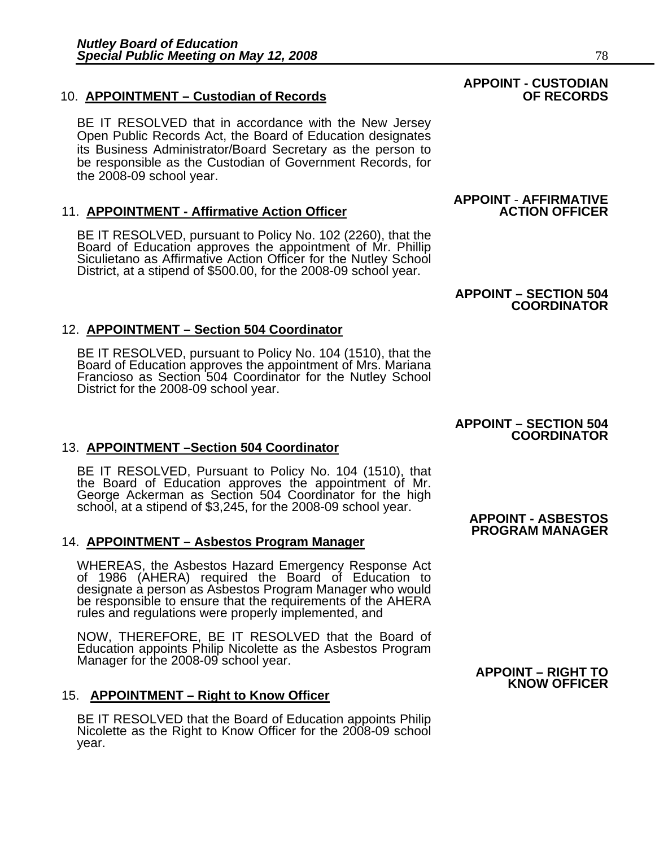# 10. **APPOINTMENT – Custodian of Records OF RECORDS**

BE IT RESOLVED that in accordance with the New Jersey Open Public Records Act, the Board of Education designates its Business Administrator/Board Secretary as the person to be responsible as the Custodian of Government Records, for the 2008-09 school year.

## **11. APPOINTMENT - Affirmative Action Officer**

BE IT RESOLVED, pursuant to Policy No. 102 (2260), that the Board of Education approves the appointment of Mr. Phillip Siculietano as Affirmative Action Officer for the Nutley School District, at a stipend of \$500.00, for

## 12. **APPOINTMENT – Section 504 Coordinator**

BE IT RESOLVED, pursuant to Policy No. 104 (1510), that the Board of Education approves the appointment of Mrs. Mariana Francioso as Section 504 Coordinator for the Nutley School District for the 2008-09 school year.

# 13. **APPOINTMENT –Section 504 Coordinator**

BE IT RESOLVED, Pursuant to Policy No. 104 (1510), that the Board of Education approves the appointment of Mr. George Ackerman as Section 504 Coordinator for the high<br>school, at a stipend of \$3,245, for the 2008-09 school year.<br>**APPOINT - ASBESTOS** 

## 14. **APPOINTMENT – Asbestos Program Manager**

WHEREAS, the Asbestos Hazard Emergency Response Act<br>of 1986 (AHERA) required the Board of Education to<br>designate a person as Asbestos Program Manager who would be responsible to ensure that the requirements of the AHERA rules and requiations were properly implemented, and

NOW, THEREFORE, BE IT RESOLVED that the Board of Education appoints Philip Nicolette as the Asbestos Program Manager for the 2008-09 school year. **APPOINT – RIGHT TO** 

## 15. **APPOINTMENT – Right to Know Officer**

BE IT RESOLVED that the Board of Education appoints Philip Nicolette as the Right to Know Officer for the 2008-09 school year.

# **APPOINT - CUSTODIAN**

# **APPOINT** - **AFFIRMATIVE**

# **APPOINT – SECTION 504 COORDINATOR**

### **APPOINT – SECTION 504 COORDINATOR**

# **PROGRAM MANAGER**

# **KNOW OFFICER**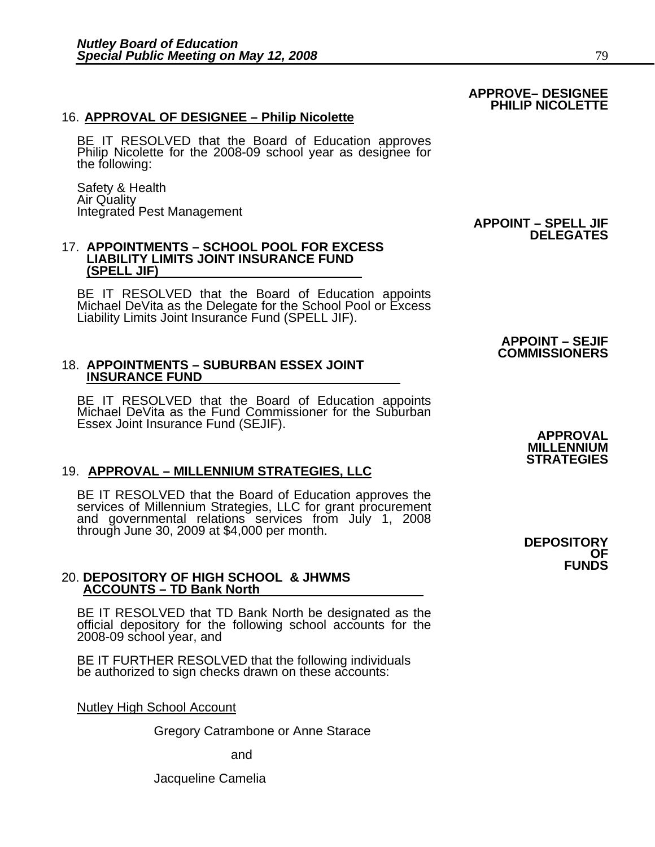### 16. **APPROVAL OF DESIGNEE – Philip Nicolette**

BE IT RESOLVED that the Board of Education approves Philip Nicolette for the 2008-09 school year as designee for the following:

Safety & Health Air Quality Integrated Pest Management **APPOINT – SPELL JIF** 

### 17. **APPOINTMENTS – SCHOOL POOL FOR EXCESS LIABILITY LIMITS JOINT INSURANCE FUND (SPELL JIF)**

BE IT RESOLVED that the Board of Education appoints Michael DeVita as the Delegate for the School Pool or Excess Liability Limits Joint Insurance Fund (SPELL JIF).

# 18. **APPOINTMENTS – SUBURBAN ESSEX JOINT INSURANCE FUND**

BE IT RESOLVED that the Board of Education appoints Michael DeVita as the Fund Commissioner for the Suburban Essex Joint Insurance Fund (SEJIF).

### 19. **APPROVAL – MILLENNIUM STRATEGIES, LLC**

BE IT RESOLVED that the Board of Education approves the services of Millennium Strategies, LLC for grant procurement and governmental relations services from July 1, 2008 through June 30, 2009 at \$4,000 per month. **DEPOSITORY**

### 20. **DEPOSITORY OF HIGH SCHOOL & JHWMS ACCOUNTS – TD Bank North**

BE IT RESOLVED that TD Bank North be designated as the official depository for the following school accounts for the 2008-09 school year, and

BE IT FURTHER RESOLVED that the following individuals be authorized to sign checks drawn on these accounts:

Nutley High School Account

Gregory Catrambone or Anne Starace

and and state and and state and state and state and state and state and state and state and state and state and

Jacqueline Camelia

# **DELEGATES**

# **APPROVAL MILLENNIUM STRATEGIES**

**APPOINT – SEJIF COMMISSIONERS** 

> **OF FUNDS**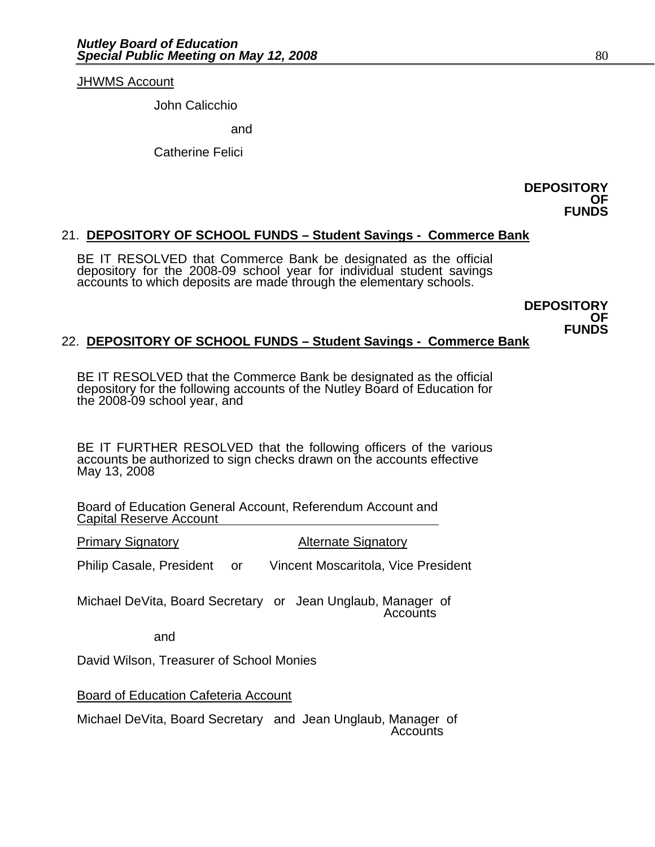### JHWMS Account

John Calicchio and Catherine Felici

**DEPOSITORY OF FUNDS** 

## 21. **DEPOSITORY OF SCHOOL FUNDS – Student Savings - Commerce Bank**

BE IT RESOLVED that Commerce Bank be designated as the official depository for the 2008-09 school year for individual student savings accounts to which deposits are made through the elementary schools.

> **DEPOSITORY OF FUNDS**

# 22. **DEPOSITORY OF SCHOOL FUNDS – Student Savings - Commerce Bank**

BE IT RESOLVED that the Commerce Bank be designated as the official depository for the following accounts of the Nutley Board of Education for the 2008-09 school year, and

BE IT FURTHER RESOLVED that the following officers of the various accounts be authorized to sign checks drawn on the accounts effective May 13, 2008

Board of Education General Account, Referendum Account and Capital Reserve Account

**Primary Signatory Community Alternate Signatory** 

Philip Casale, President or Vincent Moscaritola, Vice President

Michael DeVita, Board Secretary or Jean Unglaub, Manager of Accounts

and

David Wilson, Treasurer of School Monies

Board of Education Cafeteria Account

Michael DeVita, Board Secretary and Jean Unglaub, Manager of Accounts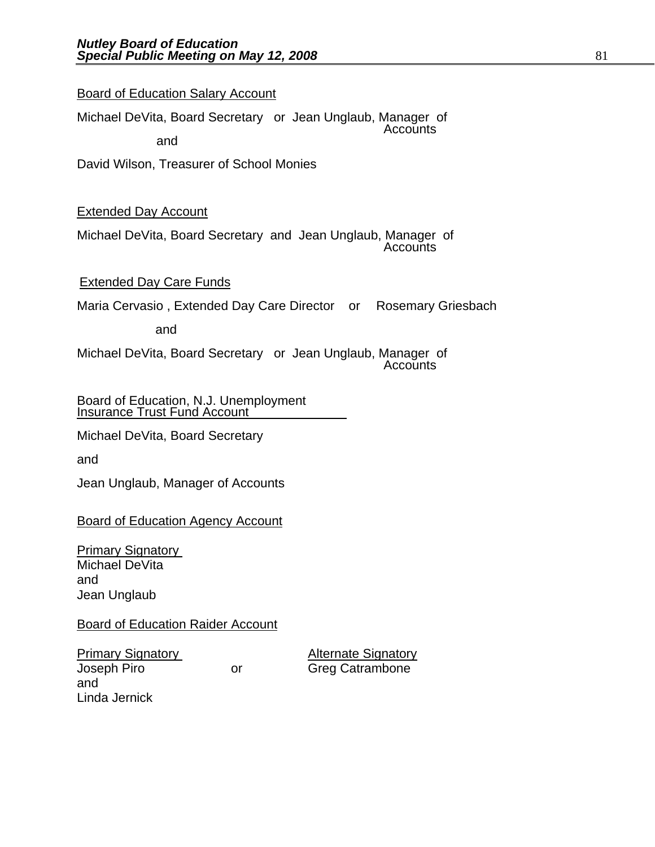## Board of Education Salary Account

Michael DeVita, Board Secretary or Jean Unglaub, Manager of Accounts

and

David Wilson, Treasurer of School Monies

# Extended Day Account

Michael DeVita, Board Secretary and Jean Unglaub, Manager of Accounts

## Extended Day Care Funds

Maria Cervasio , Extended Day Care Director or Rosemary Griesbach

and

Michael DeVita, Board Secretary or Jean Unglaub, Manager of Accounts

Board of Education, N.J. Unemployment **Insurance Trust Fund Account** 

Michael DeVita, Board Secretary

and

Jean Unglaub, Manager of Accounts

Board of Education Agency Account

**Primary Signatory** Michael DeVita and Jean Unglaub

Board of Education Raider Account

**Primary Signatory Community Alternate Signatory** Joseph Piro or Greg Catrambone and Linda Jernick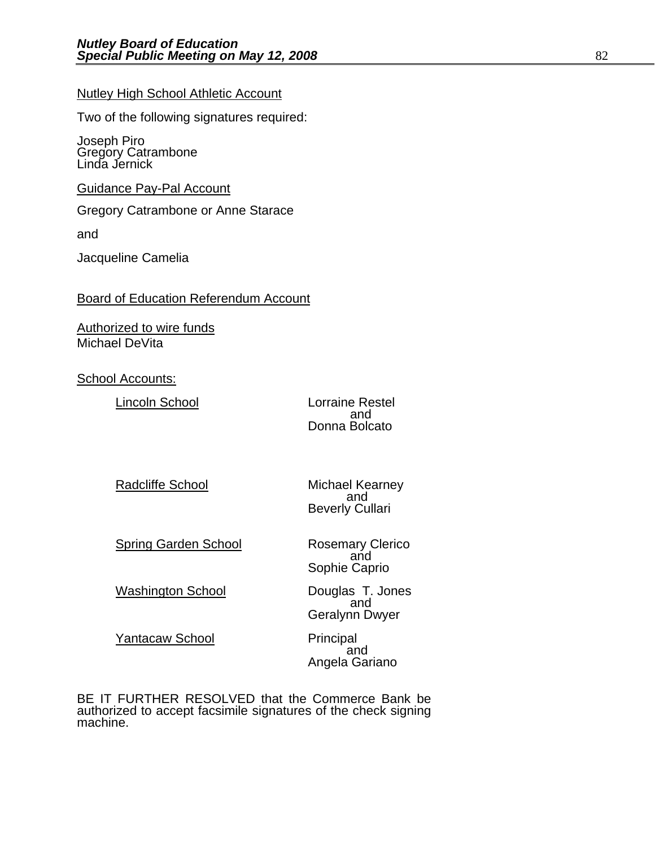### Nutley High School Athletic Account

Two of the following signatures required:

Joseph Piro Gregory Catrambone Linda Jernick

Guidance Pay-Pal Account

Gregory Catrambone or Anne Starace

and

Jacqueline Camelia

### Board of Education Referendum Account

Authorized to wire funds Michael DeVita

School Accounts:

 Lincoln School Lorraine Restel and the contract of the contract of the contract of the contract of the contract of the contract of the contract of the contract of the contract of the contract of the contract of the contract of the contract of the contra Donna Bolcato

Radcliffe School Michael Kearney<br>and and Beverly Cullari

Spring Garden School **Rosemary Clerico**<br>and Sophie Caprio

 Washington School Douglas T. Jones and Geralynn Dwyer

Yantacaw School Principal<br>and Angela Gariano

BE IT FURTHER RESOLVED that the Commerce Bank be authorized to accept facsimile signatures of the check signing machine.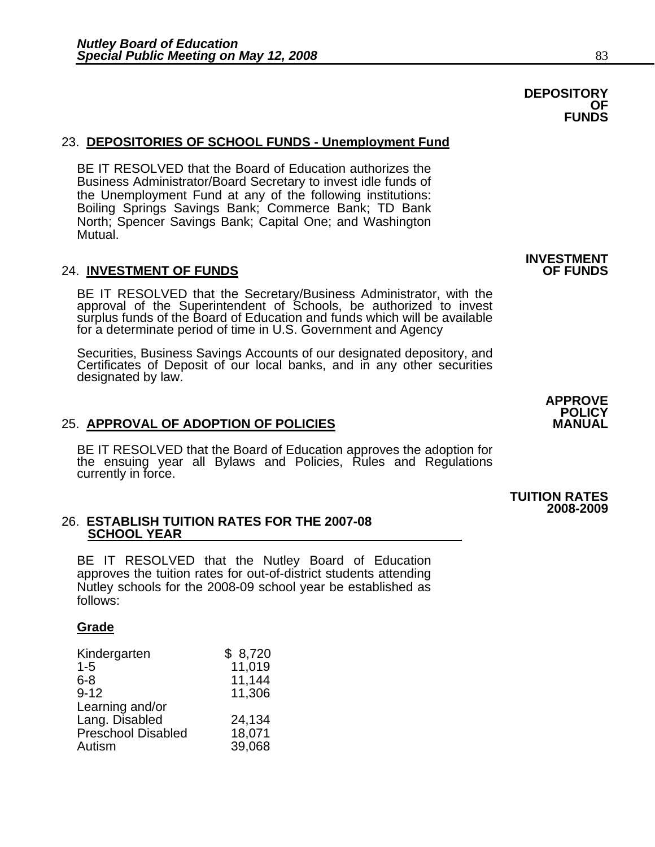# 23. **DEPOSITORIES OF SCHOOL FUNDS - Unemployment Fund**

BE IT RESOLVED that the Board of Education authorizes the Business Administrator/Board Secretary to invest idle funds of the Unemployment Fund at any of the following institutions: Boiling Springs Savings Bank; Commerce Bank; TD Bank North; Spencer Savings Bank; Capital One; and Washington Mutual.

### **24. INVESTMENT OF FUNDS**

BE IT RESOLVED that the Secretary/Business Administrator, with the approval of the Superintendent of Schools, be authorized to invest surplus funds of the Board of Education and funds which will be available for a determinate period of time in U.S. Government and Agency

Securities, Business Savings Accounts of our designated depository, and Certificates of Deposit of our local banks, and in any other securities designated by law.

**APPROVE** 

## **25. APPROVAL OF ADOPTION OF POLICIES**

BE IT RESOLVED that the Board of Education approves the adoption for the ensuing year all Bylaws and Policies, Rules and Regulations currently in force.

### 26. **ESTABLISH TUITION RATES FOR THE 2007-08 SCHOOL YEAR**

BE IT RESOLVED that the Nutley Board of Education approves the tuition rates for out-of-district students attending Nutley schools for the 2008-09 school year be established as follows:

# **Grade**

| Kindergarten              | \$8,720 |
|---------------------------|---------|
| $1 - 5$                   | 11,019  |
| 6-8                       | 11,144  |
| $9 - 12$                  | 11,306  |
| Learning and/or           |         |
| Lang. Disabled            | 24,134  |
| <b>Preschool Disabled</b> | 18,071  |
| Autism                    | 39,068  |

**INVESTMENT** 

### **TUITION RATES 2008-2009**

**POLICY**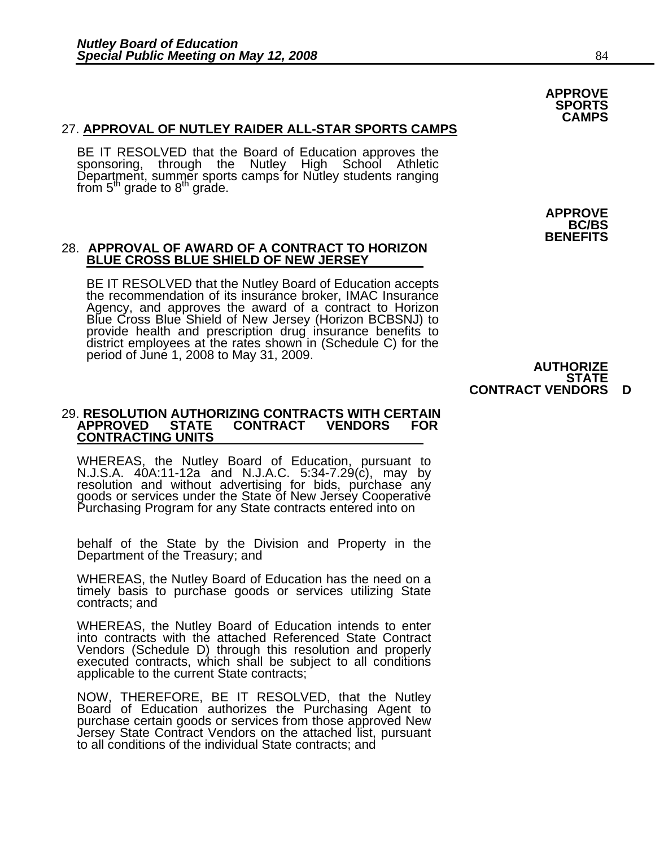### 27. **APPROVAL OF NUTLEY RAIDER ALL-STAR SPORTS CAMPS**

BE IT RESOLVED that the Board of Education approves the sponsoring, through the Nutley High School Athletic Department, summer sports camps for Nutley students ranging from  $5<sup>th</sup>$  grade to  $8<sup>th</sup>$  grade.

### 28. **APPROVAL OF AWARD OF A CONTRACT TO HORIZON BLUE CROSS BLUE SHIELD OF NEW JERSEY**

BE IT RESOLVED that the Nutley Board of Education accepts the recommendation of its insurance broker, IMAC Insurance Agency, and approves the award of a contract to Horizon Blue Cross Blue Shield of New Jersey (Horizon BCBSNJ) to<br>provide health and prescription drug insurance benefits to<br>district employees at the rates shown in (Schedule C) for the<br>period of June 1, 2008 to May 31, 2009.<br>**AUT** 

**APPROVE BC/BS BENEFITS** 

**APPROVE SPORTS CAMPS** 

**STATE CONTRACT VENDORS D** 

### 29. **RESOLUTION AUTHORIZING CONTRACTS WITH CERTAIN CONTRACT CONTRACTING UNITS**

WHEREAS, the Nutley Board of Education, pursuant to<br>N.J.S.A. 40A:11-12a and N.J.A.C. 5:34-7.29(c), may by<br>resolution and without advertising for bids, purchase any goods or services under the State of New Jersey Cooperative<br>Purchasing Program for any State contracts entered into on

behalf of the State by the Division and Property in the Department of the Treasury; and

WHEREAS, the Nutley Board of Education has the need on a timely basis to purchase goods or services utilizing State contracts; and

WHEREAS, the Nutley Board of Education intends to enter into contracts with the attached Referenced State Contract Vendors (Schedule D) through this resolution and properly executed contracts, which shall be subject to all conditions applicable to the current State contracts;

NOW, THEREFORE, BE IT RESOLVED, that the Nutley Board of Education authorizes the Purchasing Agent to purchase certain goods or services from those approved New Jersey State Contract Vendors on the attached list, pursuant to all conditions of the individual State contracts; and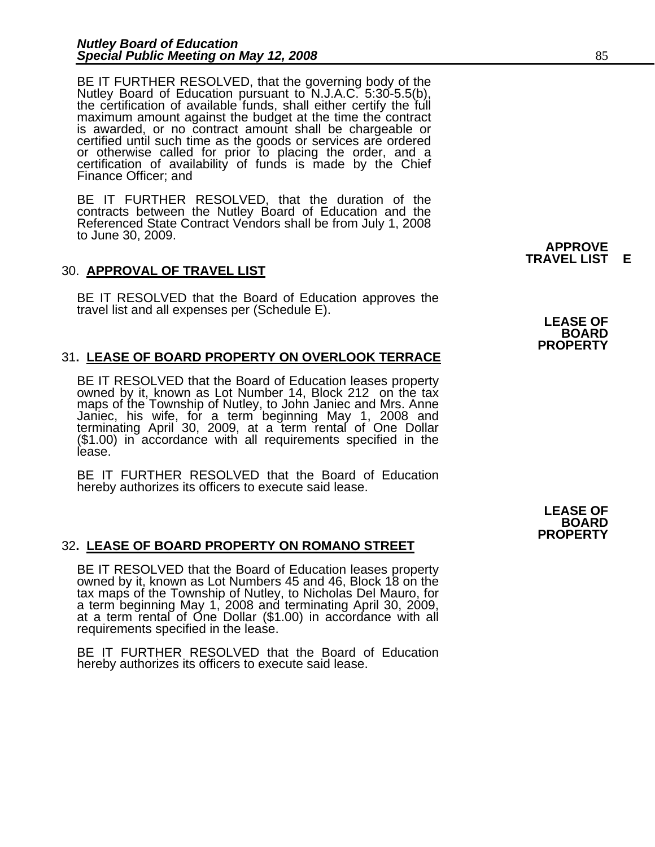BE IT FURTHER RESOLVED, that the governing body of the Nutley Board of Education pursuant to N.J.A.C. 5:30-5.5(b), the certification of available funds, shall either certify the full maximum amount against the budget at th certified until such time as the goods or services are ordered<br>or otherwise called for prior to placing the order, and a<br>certification of availability of funds is made by the Chief<br>Finance Officer; and

BE IT FURTHER RESOLVED, that the duration of the contracts between the Nutley Board of Education and the Referenced State Contract Vendors shall be from July 1, 2008 to June 30, 2009.

## 30. **APPROVAL OF TRAVEL LIST**

BE IT RESOLVED that the Board of Education approves the travel list and all expenses per (Schedule E).

## 31**. LEASE OF BOARD PROPERTY ON OVERLOOK TERRACE**

BE IT RESOLVED that the Board of Education leases property owned by it, known as Lot Number 14, Block 212 on the tax maps of the Township of Nutley, to John Janiec and Mrs. Anne Janiec, his wife, for a term beginning May 1, 2008 and terminating April 30, 2009, at a term rental of One Dollar (\$1.00) in accordance with all requirements specified in the<br>lease.

BE IT FURTHER RESOLVED that the Board of Education hereby authorizes its officers to execute said lease.

### 32**. LEASE OF BOARD PROPERTY ON ROMANO STREET**

BE IT RESOLVED that the Board of Education leases property owned by it, known as Lot Numbers 45 and 46, Block 18 on the tax maps of the Township of Nutley, to Nicholas Del Mauro, for tax maps of the Township of Nutley, to Nicholas Del Mauro, for<br>a term beginning May 1, 2008 and terminating April 30, 2009, at a term rental of One Dollar (\$1.00) in accordance with all requirements specified in the lease.

BE IT FURTHER RESOLVED that the Board of Education hereby authorizes its officers to execute said lease.

### **APPROVE TRAVEL LIST E**

**BOARD PROPERTY** 

**LEASE OF BOARD PROPERTY**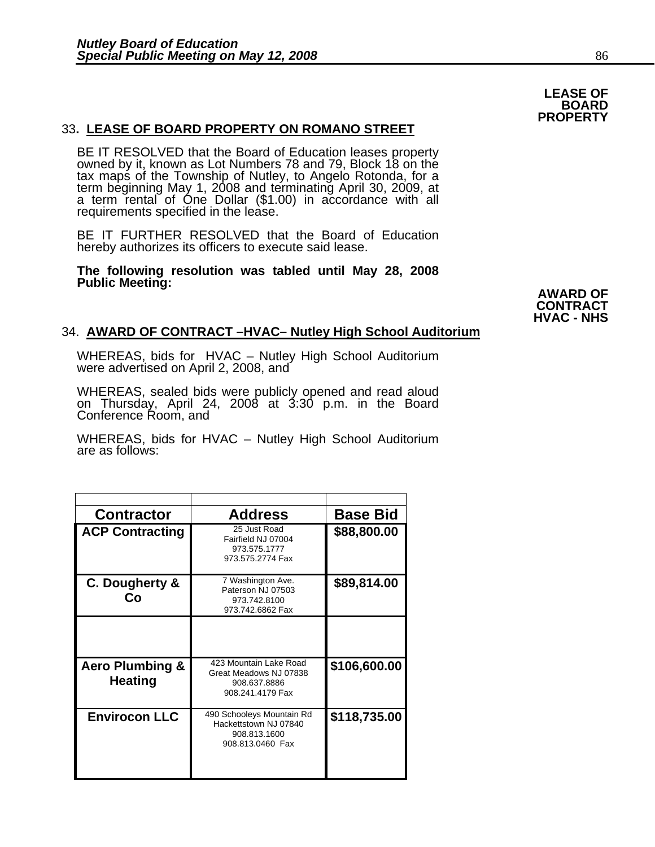### **LEASE OF BOARD PROPERTY**

### 33**. LEASE OF BOARD PROPERTY ON ROMANO STREET**

BE IT RESOLVED that the Board of Education leases property owned by it, known as Lot Numbers 78 and 79, Block 18 on the tax maps of the Township of Nutley, to Angelo Rotonda, for a term beginning May 1, 2008 and terminating April 30, 2009, at<br>a term rental of One Dollar (\$1.00) in accordance with all<br>requirements specified in the lease.

BE IT FURTHER RESOLVED that the Board of Education hereby authorizes its officers to execute said lease.

**The following resolution was tabled until May 28, 2008**  Public Meeting: **AWARD OF AWARD OF** 

**CONTRACT HVAC - NHS** 

### 34. **AWARD OF CONTRACT –HVAC– Nutley High School Auditorium**

WHEREAS, bids for HVAC – Nutley High School Auditorium were advertised on April 2, 2008, and

WHEREAS, sealed bids were publicly opened and read aloud on Thursday, April 24, 2008 at 3:30 p.m. in the Board Conference Room, and

WHEREAS, bids for HVAC – Nutley High School Auditorium are as follows:

| <b>Contractor</b>                            | <b>Address</b>                                                                         | <b>Base Bid</b> |
|----------------------------------------------|----------------------------------------------------------------------------------------|-----------------|
| <b>ACP Contracting</b>                       | 25 Just Road<br>Fairfield NJ 07004<br>973.575.1777<br>973.575.2774 Fax                 | \$88,800.00     |
| C. Dougherty &<br>Co                         | 7 Washington Ave.<br>Paterson NJ 07503<br>973.742.8100<br>973.742.6862 Fax             | \$89,814.00     |
|                                              |                                                                                        |                 |
| <b>Aero Plumbing &amp;</b><br><b>Heating</b> | 423 Mountain Lake Road<br>Great Meadows NJ 07838<br>908.637.8886<br>908.241.4179 Fax   | \$106,600.00    |
| <b>Envirocon LLC</b>                         | 490 Schooleys Mountain Rd<br>Hackettstown NJ 07840<br>908.813.1600<br>908.813.0460 Fax | \$118,735.00    |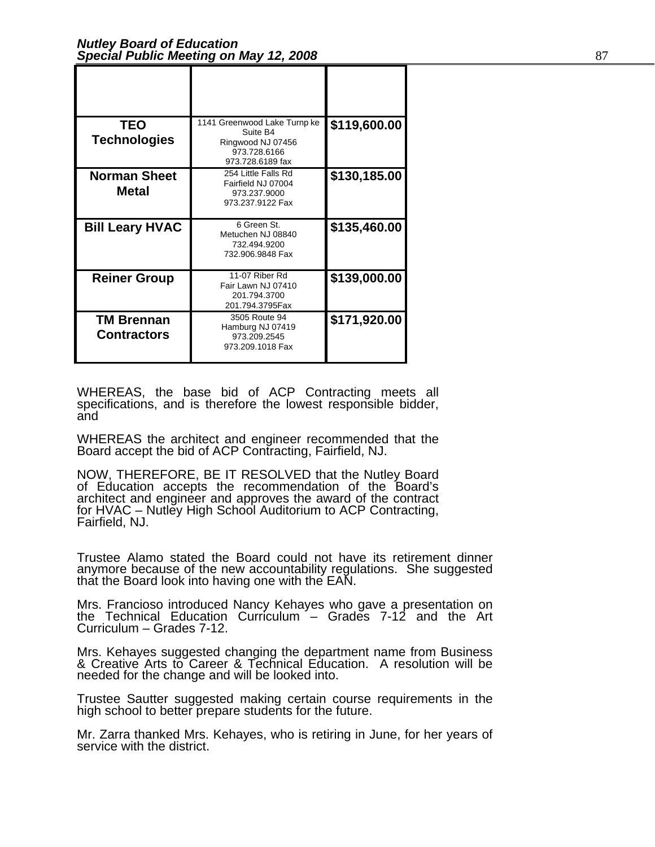| <b>TEO</b><br><b>Technologies</b>       | 1141 Greenwood Lake Turnp ke<br>Suite B4<br>Ringwood NJ 07456<br>973.728.6166<br>973.728.6189 fax | \$119,600.00 |
|-----------------------------------------|---------------------------------------------------------------------------------------------------|--------------|
| <b>Norman Sheet</b><br><b>Metal</b>     | 254 Little Falls Rd<br>Fairfield NJ 07004<br>973.237.9000<br>973.237.9122 Fax                     | \$130,185.00 |
| <b>Bill Leary HVAC</b>                  | 6 Green St.<br>Metuchen NJ 08840<br>732.494.9200<br>732.906.9848 Fax                              | \$135,460.00 |
| <b>Reiner Group</b>                     | 11-07 Riber Rd<br>Fair Lawn NJ 07410<br>201.794.3700<br>201.794.3795Fax                           | \$139,000.00 |
| <b>TM Brennan</b><br><b>Contractors</b> | 3505 Route 94<br>Hamburg NJ 07419<br>973.209.2545<br>973.209.1018 Fax                             | \$171,920.00 |

WHEREAS, the base bid of ACP Contracting meets all specifications, and is therefore the lowest responsible bidder, and

WHEREAS the architect and engineer recommended that the Board accept the bid of ACP Contracting, Fairfield, NJ.

NOW, THEREFORE, BE IT RESOLVED that the Nutley Board of Education accepts the recommendation of the Board's architect and engineer and approves the award of the contract for HVAC – Nutley High School Auditorium to ACP Contracting,<br>Fairfield, NJ.

Trustee Alamo stated the Board could not have its retirement dinner anymore because of the new accountability regulations. She suggested that the Board look into having one with the EAN.

Mrs. Francioso introduced Nancy Kehayes who gave a presentation on the Technical Education Curriculum – Grades 7-12 and the Art Curriculum – Grades 7-12.

Mrs. Kehayes suggested changing the department name from Business & Creative Arts to Career & Technical Education. A resolution will be needed for the change and will be looked into.

Trustee Sautter suggested making certain course requirements in the high school to better prepare students for the future.

Mr. Zarra thanked Mrs. Kehayes, who is retiring in June, for her years of service with the district.